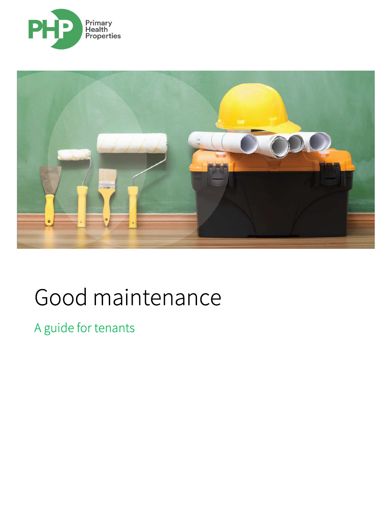



# Good maintenance

A guide for tenants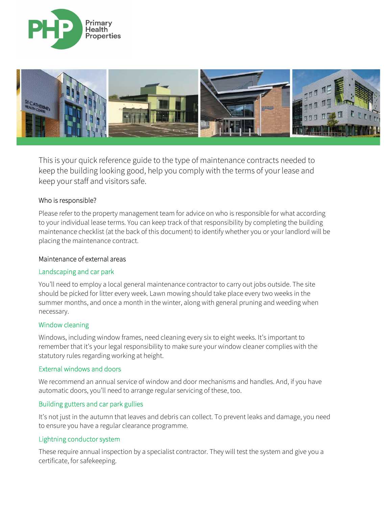



This is your quick reference guide to the type of maintenance contracts needed to keep the building looking good, help you comply with the terms of your lease and keep your staff and visitors safe.

## Who is responsible?

Please refer to the property management team for advice on who is responsible for what according to your individual lease terms. You can keep track of that responsibility by completing the building maintenance checklist (at the back of this document) to identify whether you or your landlord will be placing the maintenance contract.

#### Maintenance of external areas

#### Landscaping and car park

You'll need to employ a local general maintenance contractor to carry out jobs outside. The site should be picked for litter every week. Lawn mowing should take place every two weeks in the summer months, and once a month in the winter, along with general pruning and weeding when necessary.

#### Window cleaning

Windows, including window frames, need cleaning every six to eight weeks. It's important to remember that it's your legal responsibility to make sure your window cleaner complies with the statutory rules regarding working at height.

#### External windows and doors

We recommend an annual service of window and door mechanisms and handles. And, if you have automatic doors, you'll need to arrange regular servicing of these, too.

#### Building gutters and car park gullies

It's not just in the autumn that leaves and debris can collect. To prevent leaks and damage, you need to ensure you have a regular clearance programme.

#### Lightning conductor system

These require annual inspection by a specialist contractor. They will test the system and give you a certificate, for safekeeping.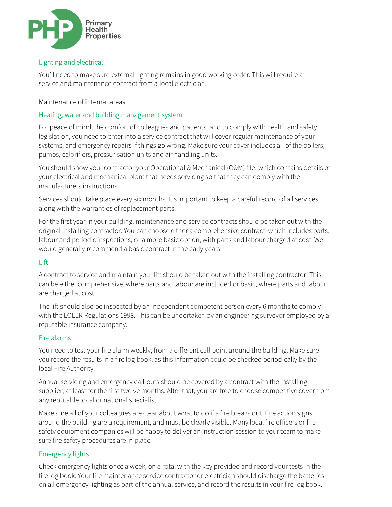

# Lighting and electrical

You'll need to make sure external lighting remains in good working order. This will require a service and maintenance contract from a local electrician.

### Maintenance of internal areas

#### Heating, water and building management system

For peace of mind, the comfort of colleagues and patients, and to comply with health and safety legislation, you need to enter into a service contract that will cover regular maintenance of your systems, and emergency repairs if things go wrong. Make sure your cover includes all of the boilers, pumps, calorifiers, pressurisation units and air handling units.

You should show your contractor your Operational & Mechanical (O&M) file, which contains details of your electrical and mechanical plant that needs servicing so that they can comply with the manufacturers instructions.

Services should take place every six months. It's important to keep a careful record of all services, along with the warranties of replacement parts.

For the first year in your building, maintenance and service contracts should be taken out with the original installing contractor. You can choose either a comprehensive contract, which includes parts, labour and periodic inspections, or a more basic option, with parts and labour charged at cost. We would generally recommend a basic contract in the early years.

## Lift

A contract to service and maintain your lift should be taken out with the installing contractor. This can be either comprehensive, where parts and labour are included or basic, where parts and labour are charged at cost.

The lift should also be inspected by an independent competent person every 6 months to comply with the LOLER Regulations 1998. This can be undertaken by an engineering surveyor employed by a reputable insurance company.

#### Fire alarms

You need to test your fire alarm weekly, from a different call point around the building. Make sure you record the results in a fire log book, as this information could be checked periodically by the local Fire Authority.

Annual servicing and emergency call-outs should be covered by a contract with the installing supplier, at least for the first twelve months. After that, you are free to choose competitive cover from any reputable local or national specialist.

Make sure all of your colleagues are clear about what to do if a fire breaks out. Fire action signs around the building are a requirement, and must be clearly visible. Many local fire officers or fire safety equipment companies will be happy to deliver an instruction session to your team to make sure fire safety procedures are in place.

## Emergency lights

Check emergency lights once a week, on a rota, with the key provided and record your tests in the fire log book. Your fire maintenance service contractor or electrician should discharge the batteries on all emergency lighting as part of the annual service, and record the results in your fire log book.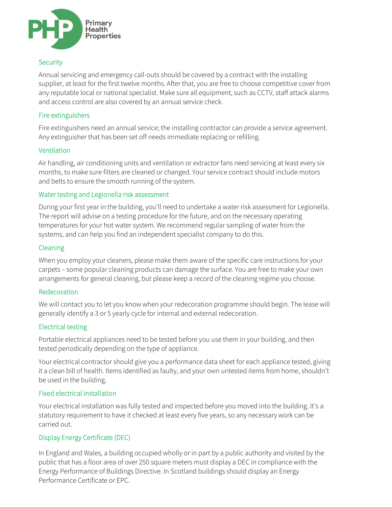

# **Security**

Annual servicing and emergency call-outs should be covered by a contract with the installing supplier, at least for the first twelve months. After that, you are free to choose competitive cover from any reputable local or national specialist. Make sure all equipment, such as CCTV, staff attack alarms and access control are also covered by an annual service check.

## Fire extinguishers

Fire extinguishers need an annual service; the installing contractor can provide a service agreement. Any extinguisher that has been set off needs immediate replacing or refilling.

## Ventilation

Air handling, air conditioning units and ventilation or extractor fans need servicing at least every six months, to make sure filters are cleaned or changed. Your service contract should include motors and belts to ensure the smooth running of the system.

## Water testing and Legionella risk assessment

During your first year in the building, you'll need to undertake a water risk assessment for Legionella. The report will advise on a testing procedure for the future, and on the necessary operating temperatures for your hot water system. We recommend regular sampling of water from the systems, and can help you find an independent specialist company to do this.

## Cleaning

When you employ your cleaners, please make them aware of the specific care instructions for your carpets – some popular cleaning products can damage the surface. You are free to make your own arrangements for general cleaning, but please keep a record of the cleaning regime you choose.

# Redecoration

We will contact you to let you know when your redecoration programme should begin. The lease will generally identify a 3 or 5 yearly cycle for internal and external redecoration.

# Electrical testing

Portable electrical appliances need to be tested before you use them in your building, and then tested periodically depending on the type of appliance.

Your electrical contractor should give you a performance data sheet for each appliance tested, giving it a clean bill of health. Items identified as faulty, and your own untested items from home, shouldn't be used in the building.

# Fixed electrical installation

Your electrical installation was fully tested and inspected before you moved into the building. It's a statutory requirement to have it checked at least every five years, so any necessary work can be carried out.

# Display Energy Certificate (DEC)

In England and Wales, a building occupied wholly or in part by a public authority and visited by the public that has a floor area of over 250 square meters must display a DEC in compliance with the Energy Performance of Buildings Directive. In Scotland buildings should display an Energy Performance Certificate or EPC.